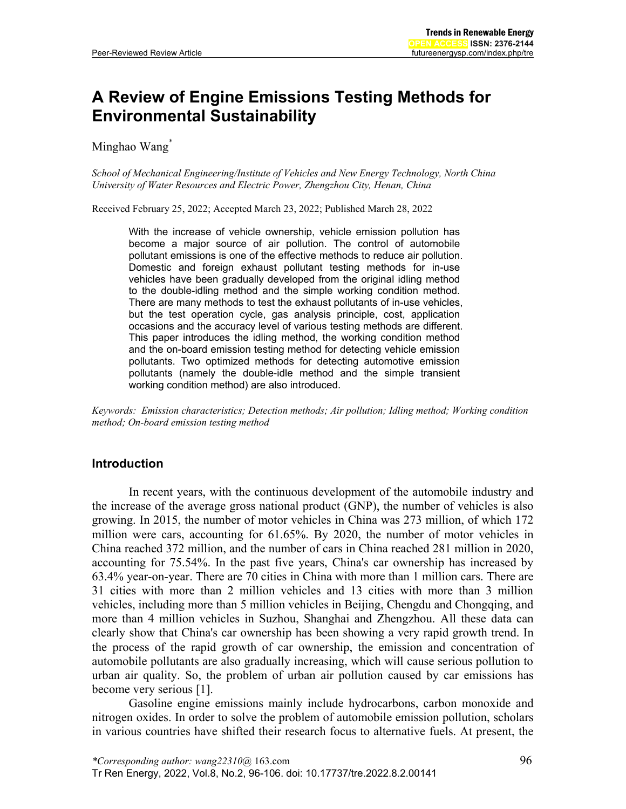# **A Review of Engine Emissions Testing Methods for Environmental Sustainability**

Minghao Wang<sup>\*</sup>

*School of Mechanical Engineering/Institute of Vehicles and New Energy Technology, North China University of Water Resources and Electric Power, Zhengzhou City, Henan, China*

Received February 25, 2022; Accepted March 23, 2022; Published March 28, 2022

With the increase of vehicle ownership, vehicle emission pollution has become a major source of air pollution. The control of automobile pollutant emissions is one of the effective methods to reduce air pollution. Domestic and foreign exhaust pollutant testing methods for in-use vehicles have been gradually developed from the original idling method to the double-idling method and the simple working condition method. There are many methods to test the exhaust pollutants of in-use vehicles, but the test operation cycle, gas analysis principle, cost, application occasions and the accuracy level of various testing methods are different. This paper introduces the idling method, the working condition method and the on-board emission testing method for detecting vehicle emission pollutants. Two optimized methods for detecting automotive emission pollutants (namely the double-idle method and the simple transient working condition method) are also introduced.

*Keywords: Emission characteristics; Detection methods; Air pollution; Idling method; Working condition method; On-board emission testing method*

# **Introduction**

In recent years, with the continuous development of the automobile industry and the increase of the average gross national product (GNP), the number of vehicles is also growing. In 2015, the number of motor vehicles in China was 273 million, of which 172 million were cars, accounting for 61.65%. By 2020, the number of motor vehicles in China reached 372 million, and the number of cars in China reached 281 million in 2020, accounting for 75.54%. In the past five years, China's car ownership has increased by 63.4% year-on-year. There are 70 cities in China with more than 1 million cars. There are 31 cities with more than 2 million vehicles and 13 cities with more than 3 million vehicles, including more than 5 million vehicles in Beijing, Chengdu and Chongqing, and more than 4 million vehicles in Suzhou, Shanghai and Zhengzhou. All these data can clearly show that China's car ownership has been showing a very rapid growth trend. In the process of the rapid growth of car ownership, the emission and concentration of automobile pollutants are also gradually increasing, which will cause serious pollution to urban air quality. So, the problem of urban air pollution caused by car emissions has become very serious [\[1\].](#page-9-0)

Gasoline engine emissions mainly include hydrocarbons, carbon monoxide and nitrogen oxides. In order to solve the problem of automobile emission pollution, scholars in various countries have shifted their research focus to alternative fuels. At present, the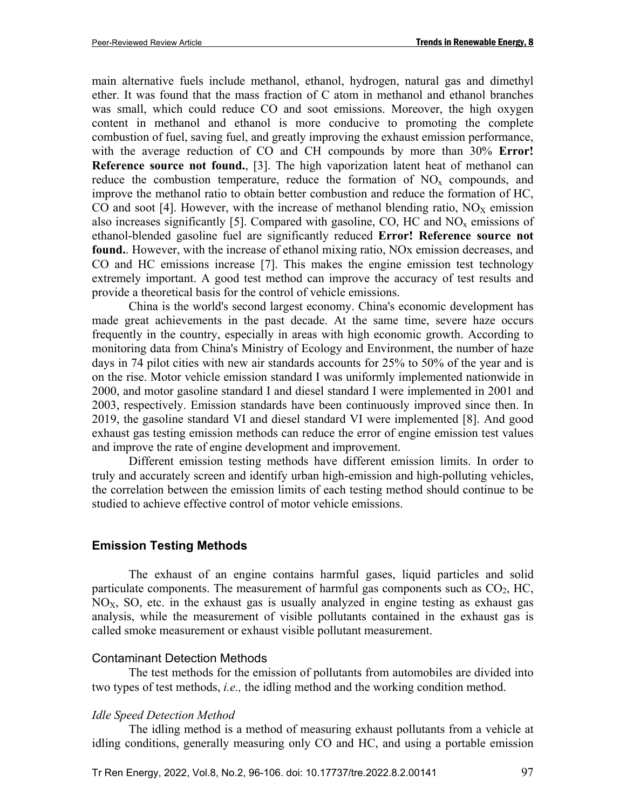main alternative fuels include methanol, ethanol, hydrogen, natural gas and dimethyl ether. It was found that the mass fraction of C atom in methanol and ethanol branches was small, which could reduce CO and soot emissions. Moreover, the high oxygen content in methanol and ethanol is more conducive to promoting the complete combustion of fuel, saving fuel, and greatly improving the exhaust emission performance, with the average reduction of CO and CH compounds by more than 30% **Error! Reference source not found.**, [\[3\].](#page-9-1) The high vaporization latent heat of methanol can reduce the combustion temperature, reduce the formation of  $NO<sub>x</sub>$  compounds, and improve the methanol ratio to obtain better combustion and reduce the formation of HC, CO and soot [\[4\].](#page-9-2) However, with the increase of methanol blending ratio,  $NO<sub>X</sub>$  emission also increases significantly [\[5\].](#page-9-3) Compared with gasoline, CO, HC and  $NO<sub>x</sub>$  emissions of ethanol-blended gasoline fuel are significantly reduced **Error! Reference source not found.**. However, with the increase of ethanol mixing ratio, NOx emission decreases, and CO and HC emissions increase [\[7\].](#page-9-4) This makes the engine emission test technology extremely important. A good test method can improve the accuracy of test results and provide a theoretical basis for the control of vehicle emissions.

China is the world's second largest economy. China's economic development has made great achievements in the past decade. At the same time, severe haze occurs frequently in the country, especially in areas with high economic growth. According to monitoring data from China's Ministry of Ecology and Environment, the number of haze days in 74 pilot cities with new air standards accounts for 25% to 50% of the year and is on the rise. Motor vehicle emission standard I was uniformly implemented nationwide in 2000, and motor gasoline standard I and diesel standard I were implemented in 2001 and 2003, respectively. Emission standards have been continuously improved since then. In 2019, the gasoline standard VI and diesel standard VI were implemented [\[8\].](#page-9-5) And good exhaust gas testing emission methods can reduce the error of engine emission test values and improve the rate of engine development and improvement.

Different emission testing methods have different emission limits. In order to truly and accurately screen and identify urban high-emission and high-polluting vehicles, the correlation between the emission limits of each testing method should continue to be studied to achieve effective control of motor vehicle emissions.

## **Emission Testing Methods**

The exhaust of an engine contains harmful gases, liquid particles and solid particulate components. The measurement of harmful gas components such as  $CO<sub>2</sub>$ , HC,  $NO<sub>X</sub>$ , SO, etc. in the exhaust gas is usually analyzed in engine testing as exhaust gas analysis, while the measurement of visible pollutants contained in the exhaust gas is called smoke measurement or exhaust visible pollutant measurement.

## Contaminant Detection Methods

The test methods for the emission of pollutants from automobiles are divided into two types of test methods, *i.e.,* the idling method and the working condition method.

## *Idle Speed Detection Method*

The idling method is a method of measuring exhaust pollutants from a vehicle at idling conditions, generally measuring only CO and HC, and using a portable emission

Tr Ren Energy, 2022, Vol.8, No.2, 96-106. doi: 10.17737/tre.2022.8.2.00141 97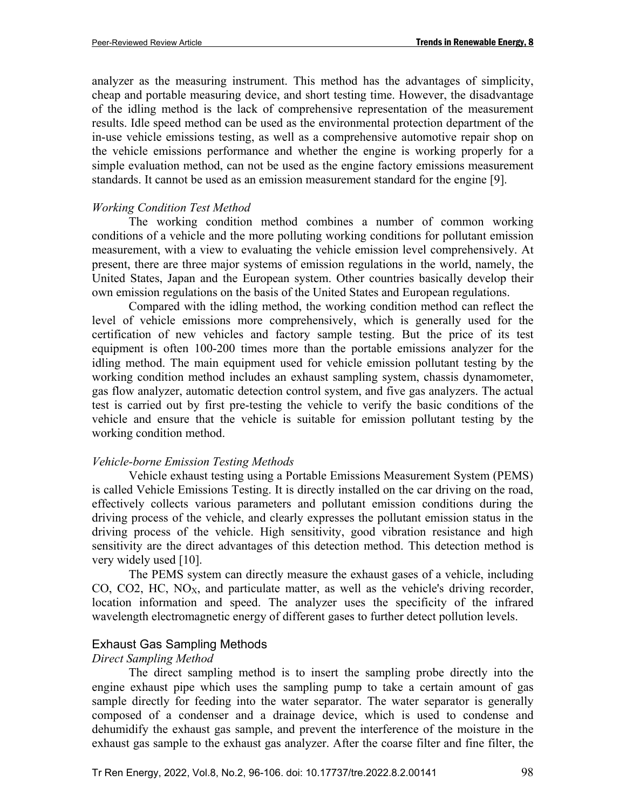analyzer as the measuring instrument. This method has the advantages of simplicity, cheap and portable measuring device, and short testing time. However, the disadvantage of the idling method is the lack of comprehensive representation of the measurement results. Idle speed method can be used as the environmental protection department of the in-use vehicle emissions testing, as well as a comprehensive automotive repair shop on the vehicle emissions performance and whether the engine is working properly for a simple evaluation method, can not be used as the engine factory emissions measurement standards. It cannot be used as an emission measurement standard for the engine [\[9\].](#page-9-6)

## *Working Condition Test Method*

The working condition method combines a number of common working conditions of a vehicle and the more polluting working conditions for pollutant emission measurement, with a view to evaluating the vehicle emission level comprehensively. At present, there are three major systems of emission regulations in the world, namely, the United States, Japan and the European system. Other countries basically develop their own emission regulations on the basis of the United States and European regulations.

Compared with the idling method, the working condition method can reflect the level of vehicle emissions more comprehensively, which is generally used for the certification of new vehicles and factory sample testing. But the price of its test equipment is often 100-200 times more than the portable emissions analyzer for the idling method. The main equipment used for vehicle emission pollutant testing by the working condition method includes an exhaust sampling system, chassis dynamometer, gas flow analyzer, automatic detection control system, and five gas analyzers. The actual test is carried out by first pre-testing the vehicle to verify the basic conditions of the vehicle and ensure that the vehicle is suitable for emission pollutant testing by the working condition method.

#### *Vehicle-borne Emission Testing Methods*

Vehicle exhaust testing using a Portable Emissions Measurement System (PEMS) is called Vehicle Emissions Testing. It is directly installed on the car driving on the road, effectively collects various parameters and pollutant emission conditions during the driving process of the vehicle, and clearly expresses the pollutant emission status in the driving process of the vehicle. High sensitivity, good vibration resistance and high sensitivity are the direct advantages of this detection method. This detection method is very widely used [\[10\].](#page-9-7)

The PEMS system can directly measure the exhaust gases of a vehicle, including CO, CO2, HC,  $NO<sub>X</sub>$ , and particulate matter, as well as the vehicle's driving recorder, location information and speed. The analyzer uses the specificity of the infrared wavelength electromagnetic energy of different gases to further detect pollution levels.

## Exhaust Gas Sampling Methods

#### *Direct Sampling Method*

The direct sampling method is to insert the sampling probe directly into the engine exhaust pipe which uses the sampling pump to take a certain amount of gas sample directly for feeding into the water separator. The water separator is generally composed of a condenser and a drainage device, which is used to condense and dehumidify the exhaust gas sample, and prevent the interference of the moisture in the exhaust gas sample to the exhaust gas analyzer. After the coarse filter and fine filter, the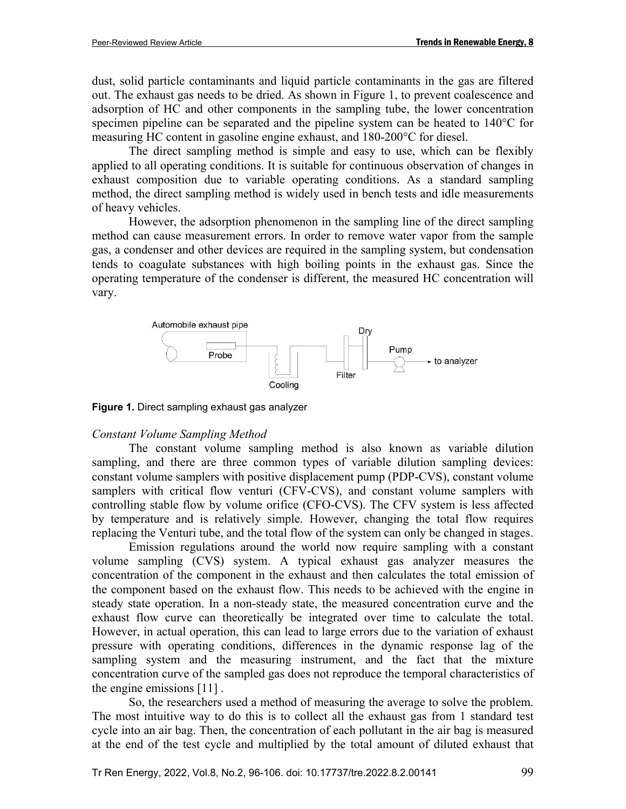dust, solid particle contaminants and liquid particle contaminants in the gas are filtered out. The exhaust gas needs to be dried. As shown in Figure 1, to prevent coalescence and adsorption of HC and other components in the sampling tube, the lower concentration specimen pipeline can be separated and the pipeline system can be heated to 140°C for measuring HC content in gasoline engine exhaust, and 180-200°C for diesel.

The direct sampling method is simple and easy to use, which can be flexibly applied to all operating conditions. It is suitable for continuous observation of changes in exhaust composition due to variable operating conditions. As a standard sampling method, the direct sampling method is widely used in bench tests and idle measurements of heavy vehicles.

However, the adsorption phenomenon in the sampling line of the direct sampling method can cause measurement errors. In order to remove water vapor from the sample gas, a condenser and other devices are required in the sampling system, but condensation tends to coagulate substances with high boiling points in the exhaust gas. Since the operating temperature of the condenser is different, the measured HC concentration will vary.



**Figure 1.** Direct sampling exhaust gas analyzer

# *Constant Volume Sampling Method*

The constant volume sampling method is also known as variable dilution sampling, and there are three common types of variable dilution sampling devices: constant volume samplers with positive displacement pump (PDP-CVS), constant volume samplers with critical flow venturi (CFV-CVS), and constant volume samplers with controlling stable flow by volume orifice (CFO-CVS). The CFV system is less affected by temperature and is relatively simple. However, changing the total flow requires replacing the Venturi tube, and the total flow of the system can only be changed in stages.

Emission regulations around the world now require sampling with a constant volume sampling (CVS) system. A typical exhaust gas analyzer measures the concentration of the component in the exhaust and then calculates the total emission of the component based on the exhaust flow. This needs to be achieved with the engine in steady state operation. In a non-steady state, the measured concentration curve and the exhaust flow curve can theoretically be integrated over time to calculate the total. However, in actual operation, this can lead to large errors due to the variation of exhaust pressure with operating conditions, differences in the dynamic response lag of the sampling system and the measuring instrument, and the fact that the mixture concentration curve of the sampled gas does not reproduce the temporal characteristics of the engine emissions [\[11\]](#page-9-8) .

So, the researchers used a method of measuring the average to solve the problem. The most intuitive way to do this is to collect all the exhaust gas from 1 standard test cycle into an air bag. Then, the concentration of each pollutant in the air bag is measured at the end of the test cycle and multiplied by the total amount of diluted exhaust that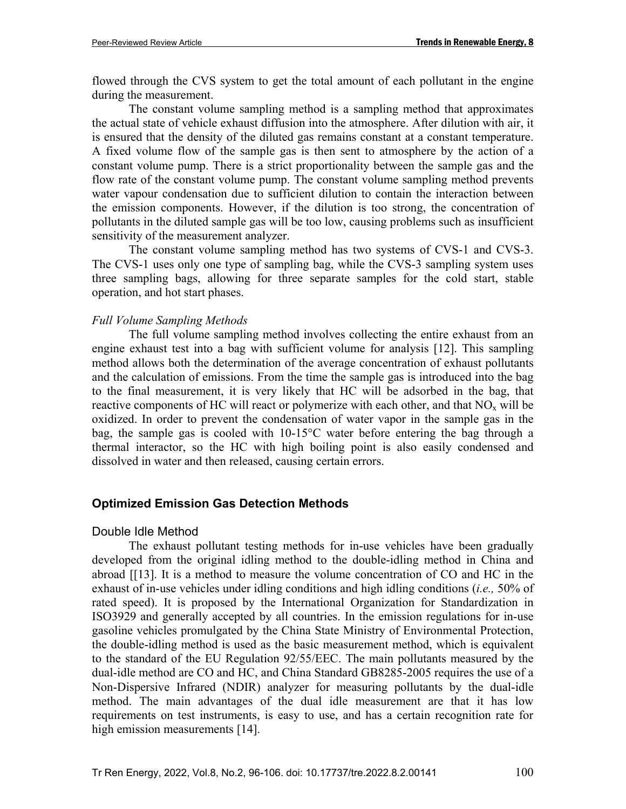flowed through the CVS system to get the total amount of each pollutant in the engine during the measurement.

The constant volume sampling method is a sampling method that approximates the actual state of vehicle exhaust diffusion into the atmosphere. After dilution with air, it is ensured that the density of the diluted gas remains constant at a constant temperature. A fixed volume flow of the sample gas is then sent to atmosphere by the action of a constant volume pump. There is a strict proportionality between the sample gas and the flow rate of the constant volume pump. The constant volume sampling method prevents water vapour condensation due to sufficient dilution to contain the interaction between the emission components. However, if the dilution is too strong, the concentration of pollutants in the diluted sample gas will be too low, causing problems such as insufficient sensitivity of the measurement analyzer.

The constant volume sampling method has two systems of CVS-1 and CVS-3. The CVS-1 uses only one type of sampling bag, while the CVS-3 sampling system uses three sampling bags, allowing for three separate samples for the cold start, stable operation, and hot start phases.

#### *Full Volume Sampling Methods*

The full volume sampling method involves collecting the entire exhaust from an engine exhaust test into a bag with sufficient volume for analysis [\[12\].](#page-9-9) This sampling method allows both the determination of the average concentration of exhaust pollutants and the calculation of emissions. From the time the sample gas is introduced into the bag to the final measurement, it is very likely that HC will be adsorbed in the bag, that reactive components of HC will react or polymerize with each other, and that  $NO<sub>x</sub>$  will be oxidized. In order to prevent the condensation of water vapor in the sample gas in the bag, the sample gas is cooled with 10-15°C water before entering the bag through a thermal interactor, so the HC with high boiling point is also easily condensed and dissolved in water and then released, causing certain errors.

## **Optimized Emission Gas Detection Methods**

#### Double Idle Method

The exhaust pollutant testing methods for in-use vehicles have been gradually developed from the original idling method to the double-idling method in China and abroad [\[\[13\].](#page-9-10) It is a method to measure the volume concentration of CO and HC in the exhaust of in-use vehicles under idling conditions and high idling conditions (*i.e.,* 50% of rated speed). It is proposed by the International Organization for Standardization in ISO3929 and generally accepted by all countries. In the emission regulations for in-use gasoline vehicles promulgated by the China State Ministry of Environmental Protection, the double-idling method is used as the basic measurement method, which is equivalent to the standard of the EU Regulation 92/55/EEC. The main pollutants measured by the dual-idle method are CO and HC, and China Standard GB8285-2005 requires the use of a Non-Dispersive Infrared (NDIR) analyzer for measuring pollutants by the dual-idle method. The main advantages of the dual idle measurement are that it has low requirements on test instruments, is easy to use, and has a certain recognition rate for high emission measurements [\[14\].](#page-10-0)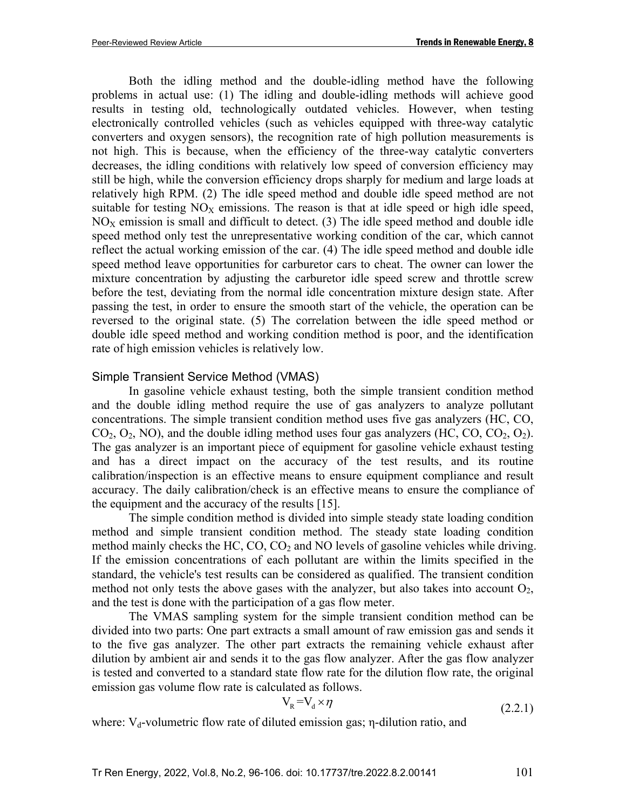Both the idling method and the double-idling method have the following problems in actual use: (1) The idling and double-idling methods will achieve good results in testing old, technologically outdated vehicles. However, when testing electronically controlled vehicles (such as vehicles equipped with three-way catalytic converters and oxygen sensors), the recognition rate of high pollution measurements is not high. This is because, when the efficiency of the three-way catalytic converters decreases, the idling conditions with relatively low speed of conversion efficiency may still be high, while the conversion efficiency drops sharply for medium and large loads at relatively high RPM. (2) The idle speed method and double idle speed method are not suitable for testing  $NO<sub>X</sub>$  emissions. The reason is that at idle speed or high idle speed,  $NO<sub>X</sub>$  emission is small and difficult to detect. (3) The idle speed method and double idle speed method only test the unrepresentative working condition of the car, which cannot reflect the actual working emission of the car. (4) The idle speed method and double idle speed method leave opportunities for carburetor cars to cheat. The owner can lower the mixture concentration by adjusting the carburetor idle speed screw and throttle screw before the test, deviating from the normal idle concentration mixture design state. After passing the test, in order to ensure the smooth start of the vehicle, the operation can be reversed to the original state. (5) The correlation between the idle speed method or double idle speed method and working condition method is poor, and the identification rate of high emission vehicles is relatively low.

## Simple Transient Service Method (VMAS)

In gasoline vehicle exhaust testing, both the simple transient condition method and the double idling method require the use of gas analyzers to analyze pollutant concentrations. The simple transient condition method uses five gas analyzers (HC, CO,  $CO<sub>2</sub>, O<sub>2</sub>, NO$ ), and the double idling method uses four gas analyzers (HC, CO, CO<sub>2</sub>, O<sub>2</sub>). The gas analyzer is an important piece of equipment for gasoline vehicle exhaust testing and has a direct impact on the accuracy of the test results, and its routine calibration/inspection is an effective means to ensure equipment compliance and result accuracy. The daily calibration/check is an effective means to ensure the compliance of the equipment and the accuracy of the results [\[15\].](#page-10-1)

The simple condition method is divided into simple steady state loading condition method and simple transient condition method. The steady state loading condition method mainly checks the HC,  $CO$ ,  $CO<sub>2</sub>$  and NO levels of gasoline vehicles while driving. If the emission concentrations of each pollutant are within the limits specified in the standard, the vehicle's test results can be considered as qualified. The transient condition method not only tests the above gases with the analyzer, but also takes into account  $O_2$ , and the test is done with the participation of a gas flow meter.

The VMAS sampling system for the simple transient condition method can be divided into two parts: One part extracts a small amount of raw emission gas and sends it to the five gas analyzer. The other part extracts the remaining vehicle exhaust after dilution by ambient air and sends it to the gas flow analyzer. After the gas flow analyzer is tested and converted to a standard state flow rate for the dilution flow rate, the original emission gas volume flow rate is calculated as follows.

$$
V_R = V_d \times \eta \tag{2.2.1}
$$

where:  $V_d$ -volumetric flow rate of diluted emission gas;  $\eta$ -dilution ratio, and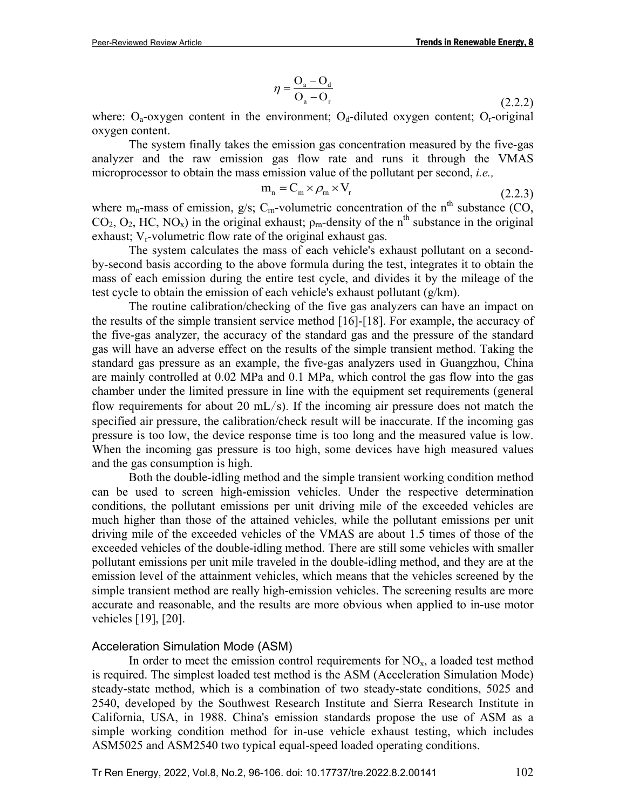$$
\eta = \frac{\mathcal{O}_a - \mathcal{O}_d}{\mathcal{O}_a - \mathcal{O}_r} \tag{2.2.2}
$$

where:  $O_a$ -oxygen content in the environment;  $O_d$ -diluted oxygen content;  $O_f$ -original oxygen content.

The system finally takes the emission gas concentration measured by the five-gas analyzer and the raw emission gas flow rate and runs it through the VMAS microprocessor to obtain the mass emission value of the pollutant per second, *i.e.,*

$$
m_n = C_m \times \rho_m \times V_r
$$
 (2.2.3)

where m<sub>n</sub>-mass of emission, g/s; C<sub>m</sub>-volumetric concentration of the n<sup>th</sup> substance (CO,  $CO_2$ ,  $O_2$ , HC, NO<sub>x</sub>) in the original exhaust;  $\rho_m$ -density of the n<sup>th</sup> substance in the original exhaust;  $V_r$ -volumetric flow rate of the original exhaust gas.

The system calculates the mass of each vehicle's exhaust pollutant on a secondby-second basis according to the above formula during the test, integrates it to obtain the mass of each emission during the entire test cycle, and divides it by the mileage of the test cycle to obtain the emission of each vehicle's exhaust pollutant (g/km).

The routine calibration/checking of the five gas analyzers can have an impact on the results of the simple transient service method [\[16\]](#page-10-2)[-\[18\].](#page-10-3) For example, the accuracy of the five-gas analyzer, the accuracy of the standard gas and the pressure of the standard gas will have an adverse effect on the results of the simple transient method. Taking the standard gas pressure as an example, the five-gas analyzers used in Guangzhou, China are mainly controlled at 0.02 MPa and 0.1 MPa, which control the gas flow into the gas chamber under the limited pressure in line with the equipment set requirements (general flow requirements for about 20  $mL/s$ ). If the incoming air pressure does not match the specified air pressure, the calibration/check result will be inaccurate. If the incoming gas pressure is too low, the device response time is too long and the measured value is low. When the incoming gas pressure is too high, some devices have high measured values and the gas consumption is high.

Both the double-idling method and the simple transient working condition method can be used to screen high-emission vehicles. Under the respective determination conditions, the pollutant emissions per unit driving mile of the exceeded vehicles are much higher than those of the attained vehicles, while the pollutant emissions per unit driving mile of the exceeded vehicles of the VMAS are about 1.5 times of those of the exceeded vehicles of the double-idling method. There are still some vehicles with smaller pollutant emissions per unit mile traveled in the double-idling method, and they are at the emission level of the attainment vehicles, which means that the vehicles screened by the simple transient method are really high-emission vehicles. The screening results are more accurate and reasonable, and the results are more obvious when applied to in-use motor vehicles [\[19\],](#page-10-4) [\[20\].](#page-10-5)

## Acceleration Simulation Mode (ASM)

In order to meet the emission control requirements for  $NO<sub>x</sub>$ , a loaded test method is required. The simplest loaded test method is the ASM (Acceleration Simulation Mode) steady-state method, which is a combination of two steady-state conditions, 5025 and 2540, developed by the Southwest Research Institute and Sierra Research Institute in California, USA, in 1988. China's emission standards propose the use of ASM as a simple working condition method for in-use vehicle exhaust testing, which includes ASM5025 and ASM2540 two typical equal-speed loaded operating conditions.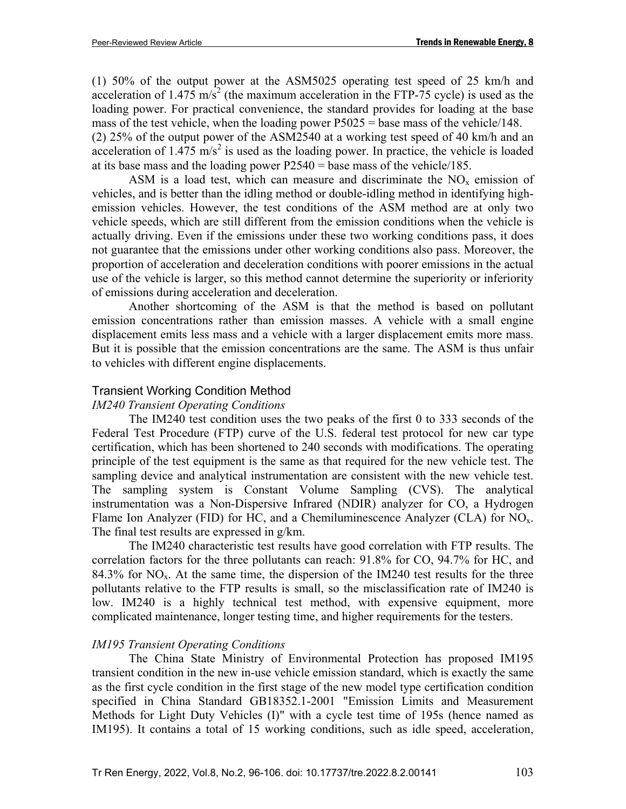(1) 50% of the output power at the ASM5025 operating test speed of 25 km/h and acceleration of 1.475 m/s<sup>2</sup> (the maximum acceleration in the FTP-75 cycle) is used as the loading power. For practical convenience, the standard provides for loading at the base mass of the test vehicle, when the loading power  $P5025$  = base mass of the vehicle/148. (2) 25% of the output power of the ASM2540 at a working test speed of 40 km/h and an acceleration of  $1.475 \text{ m/s}^2$  is used as the loading power. In practice, the vehicle is loaded at its base mass and the loading power  $P2540 =$  base mass of the vehicle/185.

ASM is a load test, which can measure and discriminate the  $NO<sub>x</sub>$  emission of vehicles, and is better than the idling method or double-idling method in identifying highemission vehicles. However, the test conditions of the ASM method are at only two vehicle speeds, which are still different from the emission conditions when the vehicle is actually driving. Even if the emissions under these two working conditions pass, it does not guarantee that the emissions under other working conditions also pass. Moreover, the proportion of acceleration and deceleration conditions with poorer emissions in the actual use of the vehicle is larger, so this method cannot determine the superiority or inferiority of emissions during acceleration and deceleration.

Another shortcoming of the ASM is that the method is based on pollutant emission concentrations rather than emission masses. A vehicle with a small engine displacement emits less mass and a vehicle with a larger displacement emits more mass. But it is possible that the emission concentrations are the same. The ASM is thus unfair to vehicles with different engine displacements.

## Transient Working Condition Method

#### *IM240 Transient Operating Conditions*

The IM240 test condition uses the two peaks of the first 0 to 333 seconds of the Federal Test Procedure (FTP) curve of the U.S. federal test protocol for new car type certification, which has been shortened to 240 seconds with modifications. The operating principle of the test equipment is the same as that required for the new vehicle test. The sampling device and analytical instrumentation are consistent with the new vehicle test. The sampling system is Constant Volume Sampling (CVS). The analytical instrumentation was a Non-Dispersive Infrared (NDIR) analyzer for CO, a Hydrogen Flame Ion Analyzer (FID) for HC, and a Chemiluminescence Analyzer (CLA) for  $NO<sub>x</sub>$ . The final test results are expressed in g/km.

The IM240 characteristic test results have good correlation with FTP results. The correlation factors for the three pollutants can reach: 91.8% for CO, 94.7% for HC, and 84.3% for  $NO<sub>x</sub>$ . At the same time, the dispersion of the IM240 test results for the three pollutants relative to the FTP results is small, so the misclassification rate of IM240 is low. IM240 is a highly technical test method, with expensive equipment, more complicated maintenance, longer testing time, and higher requirements for the testers.

## *IM195 Transient Operating Conditions*

The China State Ministry of Environmental Protection has proposed IM195 transient condition in the new in-use vehicle emission standard, which is exactly the same as the first cycle condition in the first stage of the new model type certification condition specified in China Standard GB18352.1-2001 "Emission Limits and Measurement Methods for Light Duty Vehicles (I)" with a cycle test time of 195s (hence named as IM195). It contains a total of 15 working conditions, such as idle speed, acceleration,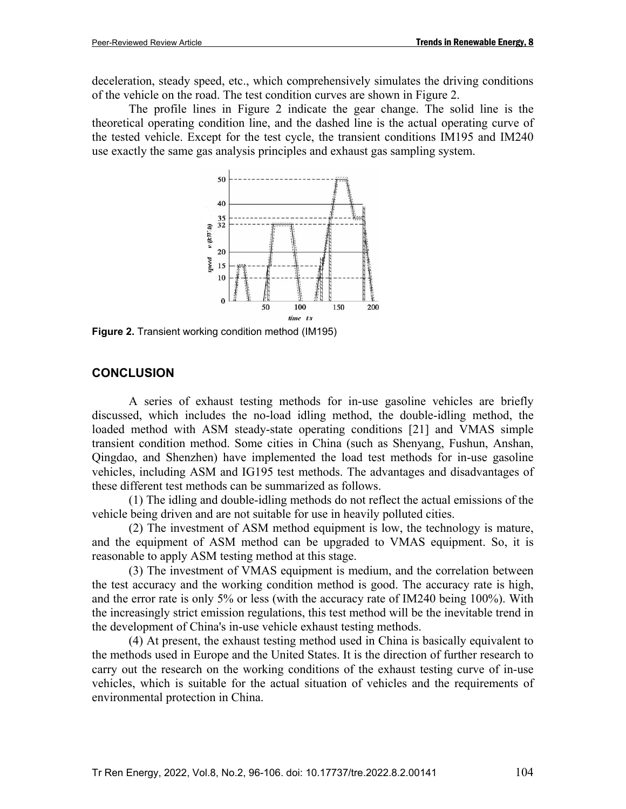deceleration, steady speed, etc., which comprehensively simulates the driving conditions of the vehicle on the road. The test condition curves are shown in Figure 2.

The profile lines in Figure 2 indicate the gear change. The solid line is the theoretical operating condition line, and the dashed line is the actual operating curve of the tested vehicle. Except for the test cycle, the transient conditions IM195 and IM240 use exactly the same gas analysis principles and exhaust gas sampling system.



**Figure 2.** Transient working condition method (IM195)

## **CONCLUSION**

A series of exhaust testing methods for in-use gasoline vehicles are briefly discussed, which includes the no-load idling method, the double-idling method, the loaded method with ASM steady-state operating conditions [\[21\]](#page-10-6) and VMAS simple transient condition method. Some cities in China (such as Shenyang, Fushun, Anshan, Qingdao, and Shenzhen) have implemented the load test methods for in-use gasoline vehicles, including ASM and IG195 test methods. The advantages and disadvantages of these different test methods can be summarized as follows.

(1) The idling and double-idling methods do not reflect the actual emissions of the vehicle being driven and are not suitable for use in heavily polluted cities.

(2) The investment of ASM method equipment is low, the technology is mature, and the equipment of ASM method can be upgraded to VMAS equipment. So, it is reasonable to apply ASM testing method at this stage.

(3) The investment of VMAS equipment is medium, and the correlation between the test accuracy and the working condition method is good. The accuracy rate is high, and the error rate is only 5% or less (with the accuracy rate of IM240 being 100%). With the increasingly strict emission regulations, this test method will be the inevitable trend in the development of China's in-use vehicle exhaust testing methods.

(4) At present, the exhaust testing method used in China is basically equivalent to the methods used in Europe and the United States. It is the direction of further research to carry out the research on the working conditions of the exhaust testing curve of in-use vehicles, which is suitable for the actual situation of vehicles and the requirements of environmental protection in China.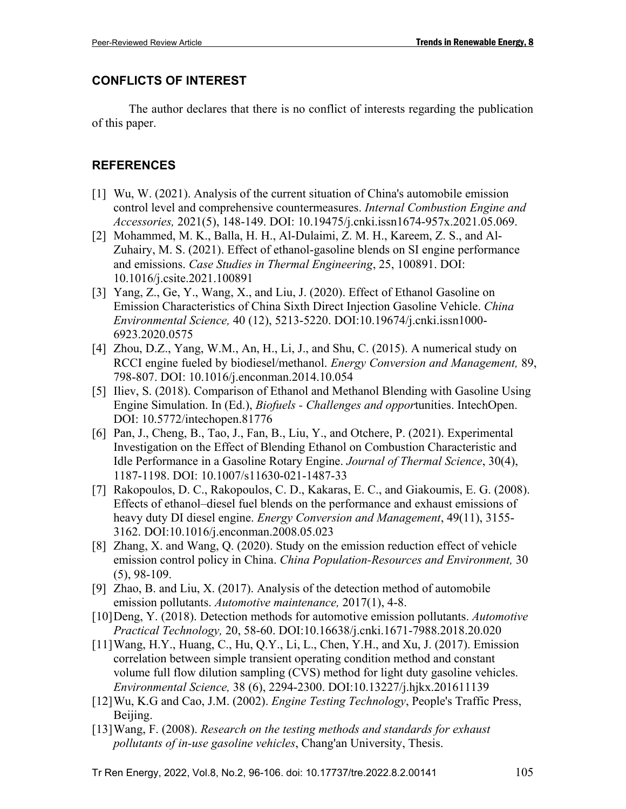# **CONFLICTS OF INTEREST**

The author declares that there is no conflict of interests regarding the publication of this paper.

# **REFERENCES**

- <span id="page-9-0"></span>[1] Wu, W. (2021). Analysis of the current situation of China's automobile emission control level and comprehensive countermeasures. *Internal Combustion Engine and Accessories,* 2021(5), 148-149. DOI: 10.19475/j.cnki.issn1674-957x.2021.05.069.
- [2] Mohammed, M. K., Balla, H. H., Al-Dulaimi, Z. M. H., Kareem, Z. S., and Al-Zuhairy, M. S. (2021). Effect of ethanol-gasoline blends on SI engine performance and emissions. *Case Studies in Thermal Engineering*, 25, 100891. DOI: 10.1016/j.csite.2021.100891
- <span id="page-9-1"></span>[3] Yang, Z., Ge, Y., Wang, X., and Liu, J. (2020). Effect of Ethanol Gasoline on Emission Characteristics of China Sixth Direct Injection Gasoline Vehicle. *China Environmental Science,* 40 (12), 5213-5220. DOI:10.19674/j.cnki.issn1000- 6923.2020.0575
- <span id="page-9-2"></span>[4] Zhou, D.Z., Yang, W.M., An, H., Li, J., and Shu, C. (2015). A numerical study on RCCI engine fueled by biodiesel/methanol. *Energy Conversion and Management,* 89, 798-807. DOI: 10.1016/j.enconman.2014.10.054
- <span id="page-9-3"></span>[5] Iliev, S. (2018). Comparison of Ethanol and Methanol Blending with Gasoline Using Engine Simulation. In (Ed.), *Biofuels - Challenges and oppor*tunities. IntechOpen. DOI: 10.5772/intechopen.81776
- [6] Pan, J., Cheng, B., Tao, J., Fan, B., Liu, Y., and Otchere, P. (2021). Experimental Investigation on the Effect of Blending Ethanol on Combustion Characteristic and Idle Performance in a Gasoline Rotary Engine. *Journal of Thermal Science*, 30(4), 1187-1198. DOI: 10.1007/s11630-021-1487-33
- <span id="page-9-4"></span>[7] Rakopoulos, D. C., Rakopoulos, C. D., Kakaras, E. C., and Giakoumis, E. G. (2008). Effects of ethanol–diesel fuel blends on the performance and exhaust emissions of heavy duty DI diesel engine. *Energy Conversion and Management*, 49(11), 3155- 3162. DOI:10.1016/j.enconman.2008.05.023
- <span id="page-9-5"></span>[8] Zhang, X. and Wang, Q. (2020). Study on the emission reduction effect of vehicle emission control policy in China. *China Population-Resources and Environment,* 30 (5), 98-109.
- <span id="page-9-6"></span>[9] Zhao, B. and Liu, X. (2017). Analysis of the detection method of automobile emission pollutants. *Automotive maintenance,* 2017(1), 4-8.
- <span id="page-9-7"></span>[10]Deng, Y. (2018). Detection methods for automotive emission pollutants. *Automotive Practical Technology,* 20, 58-60. DOI:10.16638/j.cnki.1671-7988.2018.20.020
- <span id="page-9-8"></span>[11]Wang, H.Y., Huang, C., Hu, Q.Y., Li, L., Chen, Y.H., and Xu, J. (2017). Emission correlation between simple transient operating condition method and constant volume full flow dilution sampling (CVS) method for light duty gasoline vehicles. *Environmental Science,* 38 (6), 2294-2300. DOI:10.13227/j.hjkx.201611139
- <span id="page-9-9"></span>[12]Wu, K.G and Cao, J.M. (2002). *Engine Testing Technology*, People's Traffic Press, Beijing.
- <span id="page-9-10"></span>[13]Wang, F. (2008). *Research on the testing methods and standards for exhaust pollutants of in-use gasoline vehicles*, Chang'an University, Thesis.